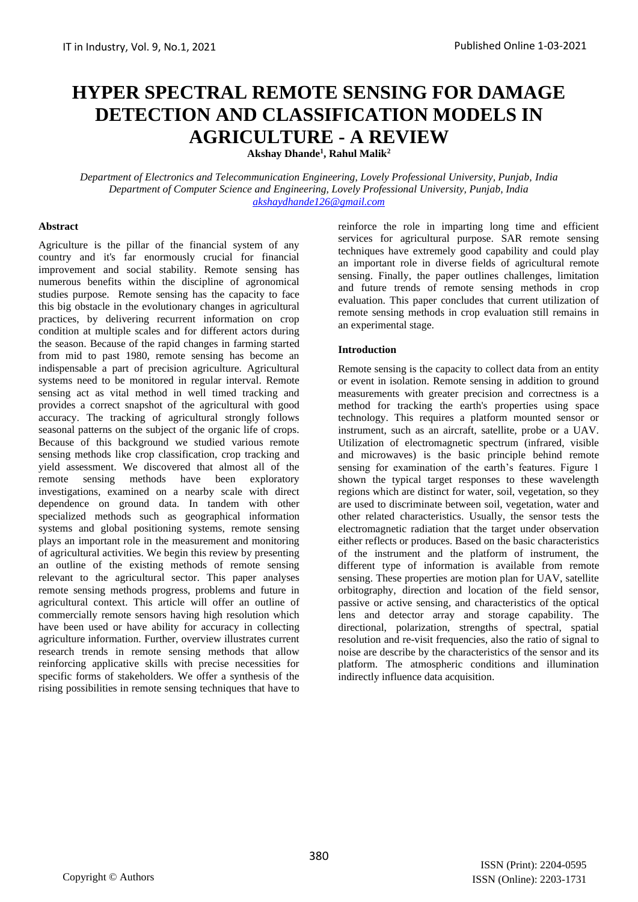# **HYPER SPECTRAL REMOTE SENSING FOR DAMAGE DETECTION AND CLASSIFICATION MODELS IN AGRICULTURE - A REVIEW**

**Akshay Dhande<sup>1</sup> , Rahul Malik<sup>2</sup>**

*Department of Electronics and Telecommunication Engineering, Lovely Professional University, Punjab, India Department of Computer Science and Engineering, Lovely Professional University, Punjab, India [akshaydhande126@gmail.com](mailto:akshaydhande126@gmail.com)*

#### **Abstract**

Agriculture is the pillar of the financial system of any country and it's far enormously crucial for financial improvement and social stability. Remote sensing has numerous benefits within the discipline of agronomical studies purpose. Remote sensing has the capacity to face this big obstacle in the evolutionary changes in agricultural practices, by delivering recurrent information on crop condition at multiple scales and for different actors during the season. Because of the rapid changes in farming started from mid to past 1980, remote sensing has become an indispensable a part of precision agriculture. Agricultural systems need to be monitored in regular interval. Remote sensing act as vital method in well timed tracking and provides a correct snapshot of the agricultural with good accuracy. The tracking of agricultural strongly follows seasonal patterns on the subject of the organic life of crops. Because of this background we studied various remote sensing methods like crop classification, crop tracking and yield assessment. We discovered that almost all of the remote sensing methods have been exploratory investigations, examined on a nearby scale with direct dependence on ground data. In tandem with other specialized methods such as geographical information systems and global positioning systems, remote sensing plays an important role in the measurement and monitoring of agricultural activities. We begin this review by presenting an outline of the existing methods of remote sensing relevant to the agricultural sector. This paper analyses remote sensing methods progress, problems and future in agricultural context. This article will offer an outline of commercially remote sensors having high resolution which have been used or have ability for accuracy in collecting agriculture information. Further, overview illustrates current research trends in remote sensing methods that allow reinforcing applicative skills with precise necessities for specific forms of stakeholders. We offer a synthesis of the rising possibilities in remote sensing techniques that have to

reinforce the role in imparting long time and efficient services for agricultural purpose. SAR remote sensing techniques have extremely good capability and could play an important role in diverse fields of agricultural remote sensing. Finally, the paper outlines challenges, limitation and future trends of remote sensing methods in crop evaluation. This paper concludes that current utilization of remote sensing methods in crop evaluation still remains in an experimental stage.

#### **Introduction**

Remote sensing is the capacity to collect data from an entity or event in isolation. Remote sensing in addition to ground measurements with greater precision and correctness is a method for tracking the earth's properties using space technology. This requires a platform mounted sensor or instrument, such as an aircraft, satellite, probe or a UAV. Utilization of electromagnetic spectrum (infrared, visible and microwaves) is the basic principle behind remote sensing for examination of the earth's features. Figure 1 shown the typical target responses to these wavelength regions which are distinct for water, soil, vegetation, so they are used to discriminate between soil, vegetation, water and other related characteristics. Usually, the sensor tests the electromagnetic radiation that the target under observation either reflects or produces. Based on the basic characteristics of the instrument and the platform of instrument, the different type of information is available from remote sensing. These properties are motion plan for UAV, satellite orbitography, direction and location of the field sensor, passive or active sensing, and characteristics of the optical lens and detector array and storage capability. The directional, polarization, strengths of spectral, spatial resolution and re-visit frequencies, also the ratio of signal to noise are describe by the characteristics of the sensor and its platform. The atmospheric conditions and illumination indirectly influence data acquisition.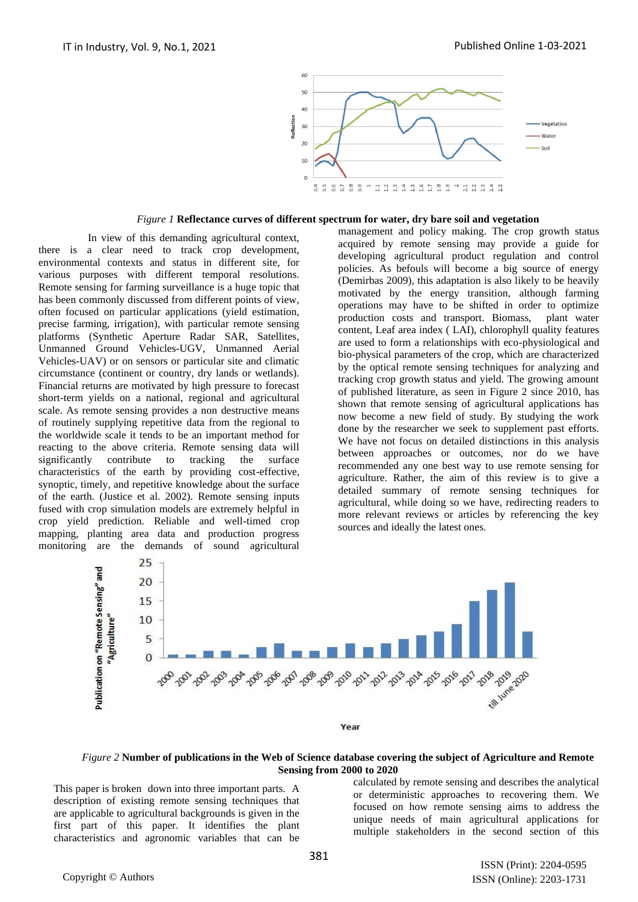

#### *Figure 1* **Reflectance curves of different spectrum for water, dry bare soil and vegetation**

In view of this demanding agricultural context, there is a clear need to track crop development, environmental contexts and status in different site, for various purposes with different temporal resolutions. Remote sensing for farming surveillance is a huge topic that has been commonly discussed from different points of view, often focused on particular applications (yield estimation, precise farming, irrigation), with particular remote sensing platforms (Synthetic Aperture Radar SAR, Satellites, Unmanned Ground Vehicles-UGV, Unmanned Aerial Vehicles-UAV) or on sensors or particular site and climatic circumstance (continent or country, dry lands or wetlands). Financial returns are motivated by high pressure to forecast short-term yields on a national, regional and agricultural scale. As remote sensing provides a non destructive means of routinely supplying repetitive data from the regional to the worldwide scale it tends to be an important method for reacting to the above criteria. Remote sensing data will significantly contribute to tracking the surface characteristics of the earth by providing cost-effective, synoptic, timely, and repetitive knowledge about the surface of the earth. (Justice et al. 2002). Remote sensing inputs fused with crop simulation models are extremely helpful in crop yield prediction. Reliable and well-timed crop mapping, planting area data and production progress monitoring are the demands of sound agricultural

management and policy making. The crop growth status acquired by remote sensing may provide a guide for developing agricultural product regulation and control policies. As befouls will become a big source of energy (Demirbas 2009), this adaptation is also likely to be heavily motivated by the energy transition, although farming operations may have to be shifted in order to optimize production costs and transport. Biomass, plant water content, Leaf area index ( LAI), chlorophyll quality features are used to form a relationships with eco-physiological and bio-physical parameters of the crop, which are characterized by the optical remote sensing techniques for analyzing and tracking crop growth status and yield. The growing amount of published literature, as seen in Figure 2 since 2010, has shown that remote sensing of agricultural applications has now become a new field of study. By studying the work done by the researcher we seek to supplement past efforts. We have not focus on detailed distinctions in this analysis between approaches or outcomes, nor do we have recommended any one best way to use remote sensing for agriculture. Rather, the aim of this review is to give a detailed summary of remote sensing techniques for agricultural, while doing so we have, redirecting readers to more relevant reviews or articles by referencing the key sources and ideally the latest ones.



#### *Figure 2* **Number of publications in the Web of Science database covering the subject of Agriculture and Remote Sensing from 2000 to 2020**

This paper is broken down into three important parts. A description of existing remote sensing techniques that are applicable to agricultural backgrounds is given in the first part of this paper. It identifies the plant characteristics and agronomic variables that can be

calculated by remote sensing and describes the analytical or deterministic approaches to recovering them. We focused on how remote sensing aims to address the unique needs of main agricultural applications for multiple stakeholders in the second section of this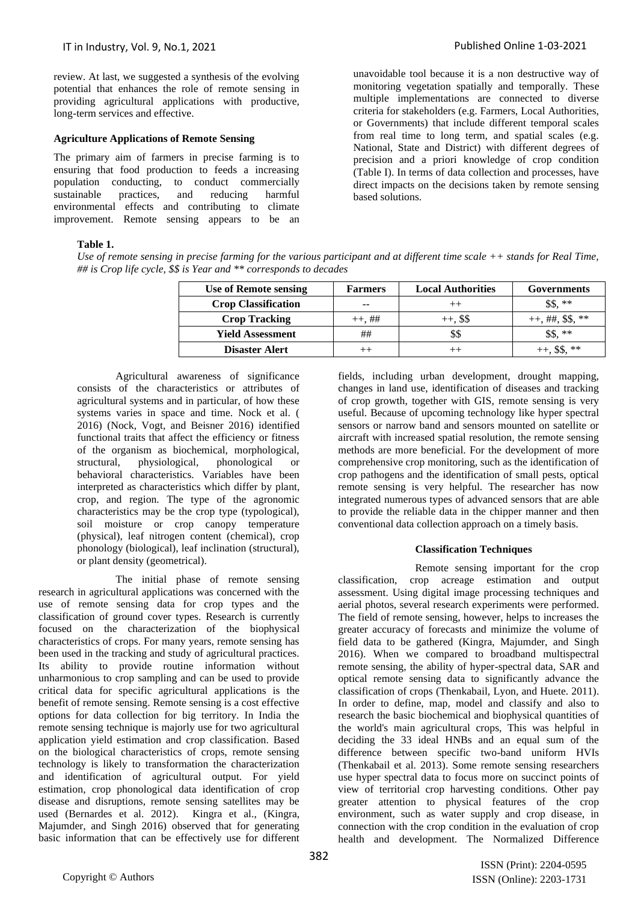review. At last, we suggested a synthesis of the evolving potential that enhances the role of remote sensing in providing agricultural applications with productive, long-term services and effective.

### **Agriculture Applications of Remote Sensing**

The primary aim of farmers in precise farming is to ensuring that food production to feeds a increasing population conducting, to conduct commercially sustainable practices, and reducing harmful environmental effects and contributing to climate improvement. Remote sensing appears to be an unavoidable tool because it is a non destructive way of monitoring vegetation spatially and temporally. These multiple implementations are connected to diverse criteria for stakeholders (e.g. Farmers, Local Authorities, or Governments) that include different temporal scales from real time to long term, and spatial scales (e.g. National, State and District) with different degrees of precision and a priori knowledge of crop condition (Table I). In terms of data collection and processes, have direct impacts on the decisions taken by remote sensing based solutions.

### **Table 1.**

*Use of remote sensing in precise farming for the various participant and at different time scale ++ stands for Real Time, ## is Crop life cycle, \$\$ is Year and \*\* corresponds to decades*

| Use of Remote sensing      | <b>Farmers</b> | <b>Local Authorities</b> | <b>Governments</b>   |
|----------------------------|----------------|--------------------------|----------------------|
| <b>Crop Classification</b> | --             | $++$                     | $***$                |
| <b>Crop Tracking</b>       | $++, ##$       | $++$ , \$\$              | $++, \##$ , \$\$, ** |
| <b>Yield Assessment</b>    | ##             | \$\$                     | **                   |
| Disaster Alert             |                |                          | **                   |

Agricultural awareness of significance consists of the characteristics or attributes of agricultural systems and in particular, of how these systems varies in space and time. Nock et al. ( 2016) (Nock, Vogt, and Beisner 2016) identified functional traits that affect the efficiency or fitness of the organism as biochemical, morphological, structural, physiological, phonological or behavioral characteristics. Variables have been interpreted as characteristics which differ by plant, crop, and region. The type of the agronomic characteristics may be the crop type (typological), soil moisture or crop canopy temperature (physical), leaf nitrogen content (chemical), crop phonology (biological), leaf inclination (structural), or plant density (geometrical).

The initial phase of remote sensing research in agricultural applications was concerned with the use of remote sensing data for crop types and the classification of ground cover types. Research is currently focused on the characterization of the biophysical characteristics of crops. For many years, remote sensing has been used in the tracking and study of agricultural practices. Its ability to provide routine information without unharmonious to crop sampling and can be used to provide critical data for specific agricultural applications is the benefit of remote sensing. Remote sensing is a cost effective options for data collection for big territory. In India the remote sensing technique is majorly use for two agricultural application yield estimation and crop classification. Based on the biological characteristics of crops, remote sensing technology is likely to transformation the characterization and identification of agricultural output. For yield estimation, crop phonological data identification of crop disease and disruptions, remote sensing satellites may be used (Bernardes et al. 2012). Kingra et al., (Kingra, Majumder, and Singh 2016) observed that for generating basic information that can be effectively use for different

fields, including urban development, drought mapping, changes in land use, identification of diseases and tracking of crop growth, together with GIS, remote sensing is very useful. Because of upcoming technology like hyper spectral sensors or narrow band and sensors mounted on satellite or aircraft with increased spatial resolution, the remote sensing methods are more beneficial. For the development of more comprehensive crop monitoring, such as the identification of crop pathogens and the identification of small pests, optical remote sensing is very helpful. The researcher has now integrated numerous types of advanced sensors that are able to provide the reliable data in the chipper manner and then conventional data collection approach on a timely basis.

#### **Classification Techniques**

Remote sensing important for the crop classification, crop acreage estimation and output assessment. Using digital image processing techniques and aerial photos, several research experiments were performed. The field of remote sensing, however, helps to increases the greater accuracy of forecasts and minimize the volume of field data to be gathered (Kingra, Majumder, and Singh 2016). When we compared to broadband multispectral remote sensing, the ability of hyper-spectral data, SAR and optical remote sensing data to significantly advance the classification of crops (Thenkabail, Lyon, and Huete. 2011). In order to define, map, model and classify and also to research the basic biochemical and biophysical quantities of the world's main agricultural crops, This was helpful in deciding the 33 ideal HNBs and an equal sum of the difference between specific two-band uniform HVIs (Thenkabail et al. 2013). Some remote sensing researchers use hyper spectral data to focus more on succinct points of view of territorial crop harvesting conditions. Other pay greater attention to physical features of the crop environment, such as water supply and crop disease, in connection with the crop condition in the evaluation of crop health and development. The Normalized Difference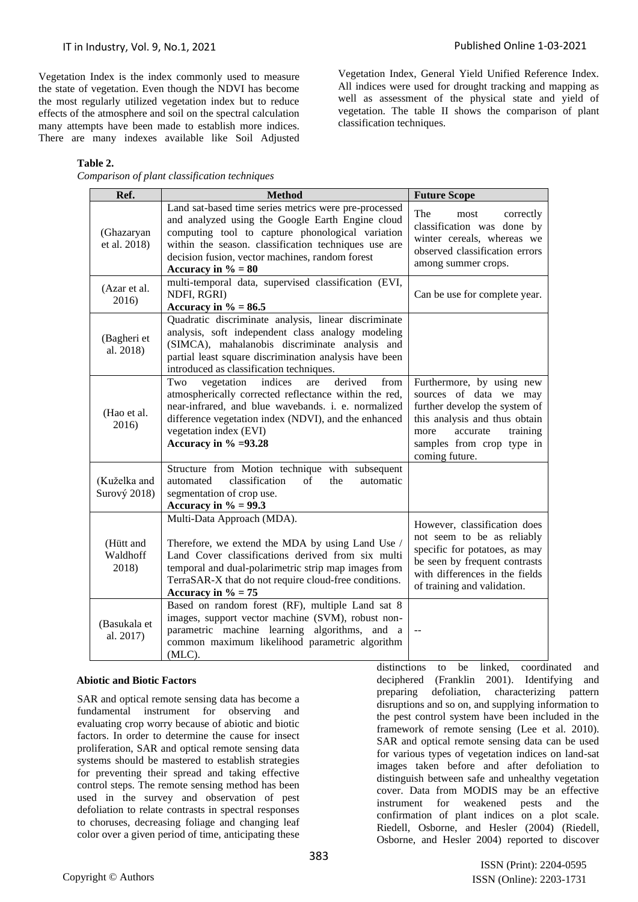Vegetation Index, General Yield Unified Reference Index. All indices were used for drought tracking and mapping as well as assessment of the physical state and yield of vegetation. The table II shows the comparison of plant

classification techniques.

Vegetation Index is the index commonly used to measure the state of vegetation. Even though the NDVI has become the most regularly utilized vegetation index but to reduce effects of the atmosphere and soil on the spectral calculation many attempts have been made to establish more indices. There are many indexes available like Soil Adjusted

**Table 2.** 

*Comparison of plant classification techniques*

**Ref. Method Future Scope** (Ghazaryan et al. 2018) Land sat-based time series metrics were pre-processed and analyzed using the Google Earth Engine cloud computing tool to capture phonological variation within the season. classification techniques use are decision fusion, vector machines, random forest Accuracy in  $\% = 80$ The most correctly classification was done by winter cereals, whereas we observed classification errors among summer crops. (Azar et al. 2016) multi-temporal data, supervised classification (EVI, NDFI, RGRI) **Accuracy in**  $\% = 86.5$ Can be use for complete year. (Bagheri et al. 2018) Quadratic discriminate analysis, linear discriminate analysis, soft independent class analogy modeling (SIMCA), mahalanobis discriminate analysis and partial least square discrimination analysis have been introduced as classification techniques. (Hao et al. 2016) Two vegetation indices are derived from atmospherically corrected reflectance within the red, near-infrared, and blue wavebands. i. e. normalized difference vegetation index (NDVI), and the enhanced vegetation index (EVI) **Accuracy in % =93.28** Furthermore, by using new sources of data we may further develop the system of this analysis and thus obtain more accurate training samples from crop type in coming future. (Kuželka and Surový 2018) Structure from Motion technique with subsequent automated classification of the automatic segmentation of crop use. **Accuracy in % = 99.3** (Hütt and Waldhoff 2018) Multi-Data Approach (MDA). Therefore, we extend the MDA by using Land Use / Land Cover classifications derived from six multi temporal and dual-polarimetric strip map images from TerraSAR-X that do not require cloud-free conditions. Accuracy in  $\% = 75$ However, classification does not seem to be as reliably specific for potatoes, as may be seen by frequent contrasts with differences in the fields of training and validation. (Basukala et al. 2017) Based on random forest (RF), multiple Land sat 8 images, support vector machine (SVM), robust nonparametric machine learning algorithms, and a common maximum likelihood parametric algorithm (MLC). --

## **Abiotic and Biotic Factors**

SAR and optical remote sensing data has become a fundamental instrument for observing and evaluating crop worry because of abiotic and biotic factors. In order to determine the cause for insect proliferation, SAR and optical remote sensing data systems should be mastered to establish strategies for preventing their spread and taking effective control steps. The remote sensing method has been used in the survey and observation of pest defoliation to relate contrasts in spectral responses to choruses, decreasing foliage and changing leaf color over a given period of time, anticipating these

distinctions to be linked, coordinated and deciphered (Franklin 2001). Identifying and preparing defoliation, characterizing pattern disruptions and so on, and supplying information to the pest control system have been included in the framework of remote sensing (Lee et al. 2010). SAR and optical remote sensing data can be used for various types of vegetation indices on land-sat images taken before and after defoliation to distinguish between safe and unhealthy vegetation cover. Data from MODIS may be an effective instrument for weakened pests and the confirmation of plant indices on a plot scale. Riedell, Osborne, and Hesler (2004) (Riedell, Osborne, and Hesler 2004) reported to discover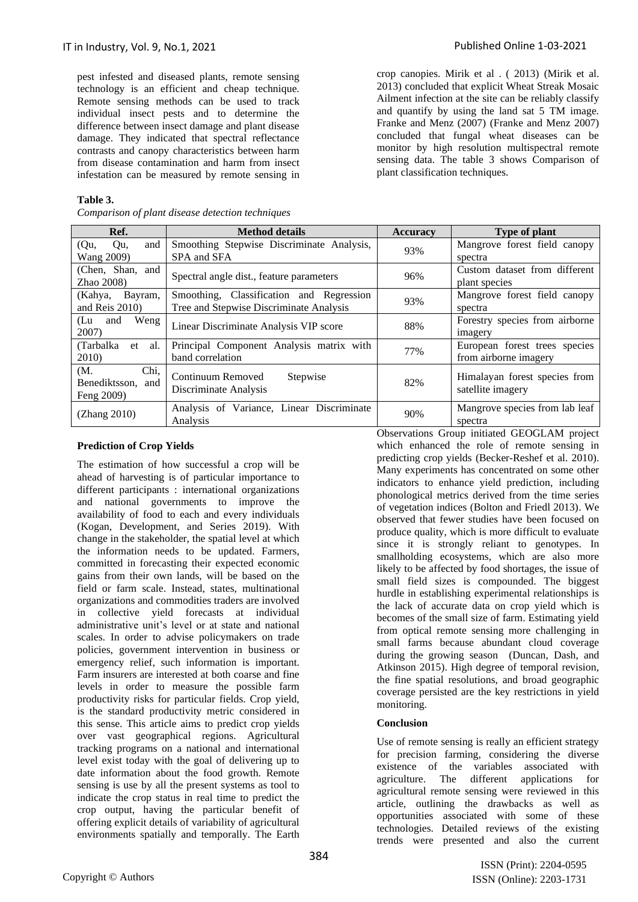pest infested and diseased plants, remote sensing technology is an efficient and cheap technique. Remote sensing methods can be used to track individual insect pests and to determine the difference between insect damage and plant disease damage. They indicated that spectral reflectance contrasts and canopy characteristics between harm from disease contamination and harm from insect infestation can be measured by remote sensing in

## **Table 3.**

*Comparison of plant disease detection techniques*

crop canopies. Mirik et al . ( 2013) (Mirik et al. 2013) concluded that explicit Wheat Streak Mosaic Ailment infection at the site can be reliably classify and quantify by using the land sat 5 TM image. Franke and Menz (2007) (Franke and Menz 2007) concluded that fungal wheat diseases can be monitor by high resolution multispectral remote sensing data. The table 3 shows Comparison of plant classification techniques.

| Ref.                                           | <b>Method details</b>                                                               | <b>Accuracy</b>         | <b>Type of plant</b>                                                                      |
|------------------------------------------------|-------------------------------------------------------------------------------------|-------------------------|-------------------------------------------------------------------------------------------|
| and<br>(Qu,<br>Qu,<br>Wang 2009)               | Smoothing Stepwise Discriminate Analysis,<br>SPA and SFA                            | 93%                     | Mangrove forest field canopy<br>spectra                                                   |
| (Chen, Shan, and<br>$Zhao$ 2008)               | Spectral angle dist., feature parameters                                            | 96%                     | Custom dataset from different<br>plant species                                            |
| (Kahya,<br>Bayram,<br>and Reis 2010)           | Smoothing, Classification and Regression<br>Tree and Stepwise Discriminate Analysis | 93%                     | Mangrove forest field canopy<br>spectra                                                   |
| Weng<br>(Lu<br>and<br>2007)                    | Linear Discriminate Analysis VIP score                                              | 88%                     | Forestry species from airborne<br>imagery                                                 |
| (Tarbalka)<br>al.<br>et<br>2010)               | Principal Component Analysis matrix with<br>band correlation                        | 77%                     | European forest trees species<br>from airborne imagery                                    |
| Chi,<br>(M.<br>Benediktsson, and<br>Feng 2009) | Continuum Removed<br>Stepwise<br>Discriminate Analysis                              | 82%                     | Himalayan forest species from<br>satellite imagery                                        |
| (Zhang 2010)                                   | Analysis of Variance, Linear Discriminate<br>Analysis                               | 90%<br>$\sim$<br>$\sim$ | Mangrove species from lab leaf<br>spectra<br>$\cdots$ $\cdots$ $\cdots$ $\cdots$ $\cdots$ |

## **Prediction of Crop Yields**

The estimation of how successful a crop will be ahead of harvesting is of particular importance to different participants : international organizations and national governments to improve the availability of food to each and every individuals (Kogan, Development, and Series 2019). With change in the stakeholder, the spatial level at which the information needs to be updated. Farmers, committed in forecasting their expected economic gains from their own lands, will be based on the field or farm scale. Instead, states, multinational organizations and commodities traders are involved in collective yield forecasts at individual administrative unit's level or at state and national scales. In order to advise policymakers on trade policies, government intervention in business or emergency relief, such information is important. Farm insurers are interested at both coarse and fine levels in order to measure the possible farm productivity risks for particular fields. Crop yield, is the standard productivity metric considered in this sense. This article aims to predict crop yields over vast geographical regions. Agricultural tracking programs on a national and international level exist today with the goal of delivering up to date information about the food growth. Remote sensing is use by all the present systems as tool to indicate the crop status in real time to predict the crop output, having the particular benefit of offering explicit details of variability of agricultural environments spatially and temporally. The Earth

Observations Group initiated GEOGLAM project which enhanced the role of remote sensing in predicting crop yields (Becker-Reshef et al. 2010). Many experiments has concentrated on some other indicators to enhance yield prediction, including phonological metrics derived from the time series of vegetation indices (Bolton and Friedl 2013). We observed that fewer studies have been focused on produce quality, which is more difficult to evaluate since it is strongly reliant to genotypes. In smallholding ecosystems, which are also more likely to be affected by food shortages, the issue of small field sizes is compounded. The biggest hurdle in establishing experimental relationships is the lack of accurate data on crop yield which is becomes of the small size of farm. Estimating yield from optical remote sensing more challenging in small farms because abundant cloud coverage during the growing season (Duncan, Dash, and Atkinson 2015). High degree of temporal revision, the fine spatial resolutions, and broad geographic coverage persisted are the key restrictions in yield monitoring.

#### **Conclusion**

Use of remote sensing is really an efficient strategy for precision farming, considering the diverse existence of the variables associated with agriculture. The different applications for agricultural remote sensing were reviewed in this article, outlining the drawbacks as well as opportunities associated with some of these technologies. Detailed reviews of the existing trends were presented and also the current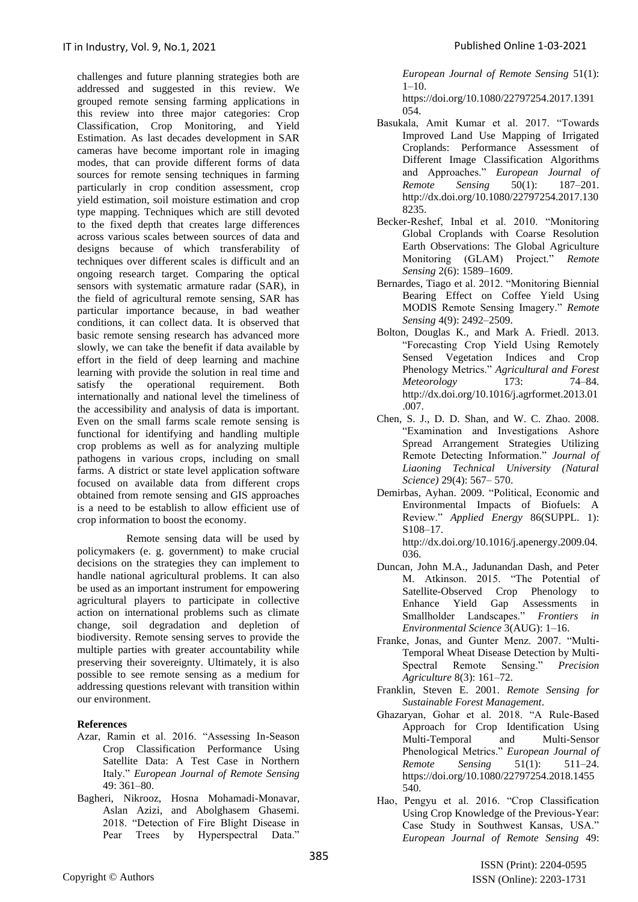challenges and future planning strategies both are addressed and suggested in this review. We grouped remote sensing farming applications in this review into three major categories: Crop Classification, Crop Monitoring, and Yield Estimation. As last decades development in SAR cameras have become important role in imaging modes, that can provide different forms of data sources for remote sensing techniques in farming particularly in crop condition assessment, crop yield estimation, soil moisture estimation and crop type mapping. Techniques which are still devoted to the fixed depth that creates large differences across various scales between sources of data and designs because of which transferability of techniques over different scales is difficult and an ongoing research target. Comparing the optical sensors with systematic armature radar (SAR), in the field of agricultural remote sensing, SAR has particular importance because, in bad weather conditions, it can collect data. It is observed that basic remote sensing research has advanced more slowly, we can take the benefit if data available by effort in the field of deep learning and machine learning with provide the solution in real time and satisfy the operational requirement. Both internationally and national level the timeliness of the accessibility and analysis of data is important. Even on the small farms scale remote sensing is functional for identifying and handling multiple crop problems as well as for analyzing multiple pathogens in various crops, including on small farms. A district or state level application software focused on available data from different crops obtained from remote sensing and GIS approaches is a need to be establish to allow efficient use of crop information to boost the economy.

Remote sensing data will be used by policymakers (e. g. government) to make crucial decisions on the strategies they can implement to handle national agricultural problems. It can also be used as an important instrument for empowering agricultural players to participate in collective action on international problems such as climate change, soil degradation and depletion of biodiversity. Remote sensing serves to provide the multiple parties with greater accountability while preserving their sovereignty. Ultimately, it is also possible to see remote sensing as a medium for addressing questions relevant with transition within our environment.

## **References**

- Azar, Ramin et al. 2016. "Assessing In-Season Crop Classification Performance Using Satellite Data: A Test Case in Northern Italy." *European Journal of Remote Sensing* 49: 361–80.
- Bagheri, Nikrooz, Hosna Mohamadi-Monavar, Aslan Azizi, and Abolghasem Ghasemi. 2018. "Detection of Fire Blight Disease in Pear Trees by Hyperspectral Data."

*European Journal of Remote Sensing* 51(1):  $1-10.$ 

https://doi.org/10.1080/22797254.2017.1391 054.

- Basukala, Amit Kumar et al. 2017. "Towards Improved Land Use Mapping of Irrigated Croplands: Performance Assessment of Different Image Classification Algorithms and Approaches." *European Journal of Remote Sensing* 50(1): 187–201. http://dx.doi.org/10.1080/22797254.2017.130 8235.
- Becker-Reshef, Inbal et al. 2010. "Monitoring Global Croplands with Coarse Resolution Earth Observations: The Global Agriculture Monitoring (GLAM) Project." *Remote Sensing* 2(6): 1589–1609.
- Bernardes, Tiago et al. 2012. "Monitoring Biennial Bearing Effect on Coffee Yield Using MODIS Remote Sensing Imagery." *Remote Sensing* 4(9): 2492–2509.
- Bolton, Douglas K., and Mark A. Friedl. 2013. "Forecasting Crop Yield Using Remotely Sensed Vegetation Indices and Crop Phenology Metrics." *Agricultural and Forest Meteorology* 173: 74–84. http://dx.doi.org/10.1016/j.agrformet.2013.01 .007.
- Chen, S. J., D. D. Shan, and W. C. Zhao. 2008. "Examination and Investigations Ashore Spread Arrangement Strategies Utilizing Remote Detecting Information." *Journal of Liaoning Technical University (Natural Science)* 29(4): 567– 570.
- Demirbas, Ayhan. 2009. "Political, Economic and Environmental Impacts of Biofuels: A Review." *Applied Energy* 86(SUPPL. 1): S108–17.

http://dx.doi.org/10.1016/j.apenergy.2009.04. 036.

- Duncan, John M.A., Jadunandan Dash, and Peter M. Atkinson. 2015. "The Potential of Satellite-Observed Crop Phenology to Enhance Yield Gap Assessments in Smallholder Landscapes." *Frontiers in Environmental Science* 3(AUG): 1–16.
- Franke, Jonas, and Gunter Menz. 2007. "Multi-Temporal Wheat Disease Detection by Multi-Spectral Remote Sensing." *Precision Agriculture* 8(3): 161–72.
- Franklin, Steven E. 2001. *Remote Sensing for Sustainable Forest Management*.
- Ghazaryan, Gohar et al. 2018. "A Rule-Based Approach for Crop Identification Using Multi-Temporal and Multi-Sensor Phenological Metrics." *European Journal of Remote Sensing* 51(1): 511–24. https://doi.org/10.1080/22797254.2018.1455 540.
- Hao, Pengyu et al. 2016. "Crop Classification Using Crop Knowledge of the Previous-Year: Case Study in Southwest Kansas, USA." *European Journal of Remote Sensing* 49: